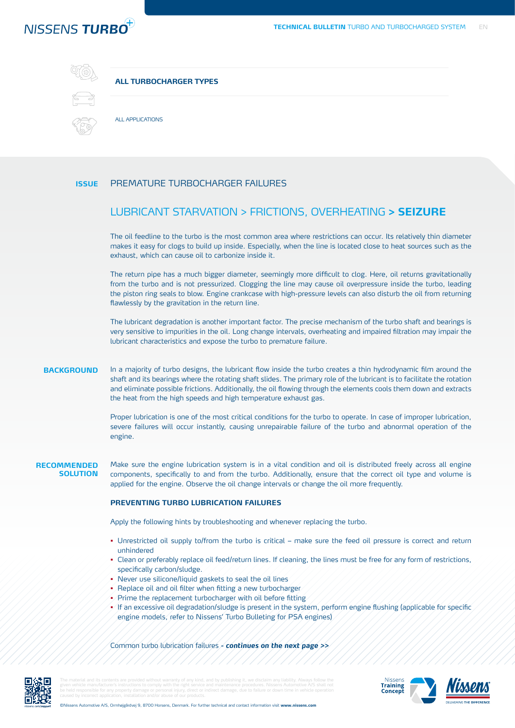# NISSENS TURBO



# **ALL TURBOCHARGER TYPES**



ALL APPLICATIONS

#### **ISSUE** PREMATURE TURBOCHARGER FAILURES

# LUBRICANT STARVATION > FRICTIONS, OVERHEATING **> SEIZURE**

The oil feedline to the turbo is the most common area where restrictions can occur. Its relatively thin diameter makes it easy for clogs to build up inside. Especially, when the line is located close to heat sources such as the exhaust, which can cause oil to carbonize inside it.

The return pipe has a much bigger diameter, seemingly more difficult to clog. Here, oil returns gravitationally from the turbo and is not pressurized. Clogging the line may cause oil overpressure inside the turbo, leading the piston ring seals to blow. Engine crankcase with high-pressure levels can also disturb the oil from returning flawlessly by the gravitation in the return line.

The lubricant degradation is another important factor. The precise mechanism of the turbo shaft and bearings is very sensitive to impurities in the oil. Long change intervals, overheating and impaired filtration may impair the lubricant characteristics and expose the turbo to premature failure.

#### **BACKGROUND** In a majority of turbo designs, the lubricant flow inside the turbo creates a thin hydrodynamic film around the shaft and its bearings where the rotating shaft slides. The primary role of the lubricant is to facilitate the rotation and eliminate possible frictions. Additionally, the oil flowing through the elements cools them down and extracts the heat from the high speeds and high temperature exhaust gas.

Proper lubrication is one of the most critical conditions for the turbo to operate. In case of improper lubrication, severe failures will occur instantly, causing unrepairable failure of the turbo and abnormal operation of the engine.

**RECOMMENDED SOLUTION** Make sure the engine lubrication system is in a vital condition and oil is distributed freely across all engine components, specifically to and from the turbo. Additionally, ensure that the correct oil type and volume is applied for the engine. Observe the oil change intervals or change the oil more frequently.

# **PREVENTING TURBO LUBRICATION FAILURES**

Apply the following hints by troubleshooting and whenever replacing the turbo.

- **•** Unrestricted oil supply to/from the turbo is critical make sure the feed oil pressure is correct and return unhindered
- **•** Clean or preferably replace oil feed/return lines. If cleaning, the lines must be free for any form of restrictions, specifically carbon/sludge.
- **•** Never use silicone/liquid gaskets to seal the oil lines
- **•** Replace oil and oil filter when fitting a new turbocharger
- **•** Prime the replacement turbocharger with oil before fitting
- **•** If an excessive oil degradation/sludge is present in the system, perform engine flushing (applicable for specific engine models, refer to Nissens' Turbo Bulleting for PSA engines)

Common turbo lubrication failures **- continues on the next page >>**



The material and its contents are provided without warranty of any kind, and by publishing it, we disclaim any liability. Always follow the given vehicle manufacturer's instructions to comply with the right service and maintenance procedures. Nissens Automotive A/S shall not be held responsible for any property damage or personal injury, direct or indirect damage, due to failure or down time in vehicle operation